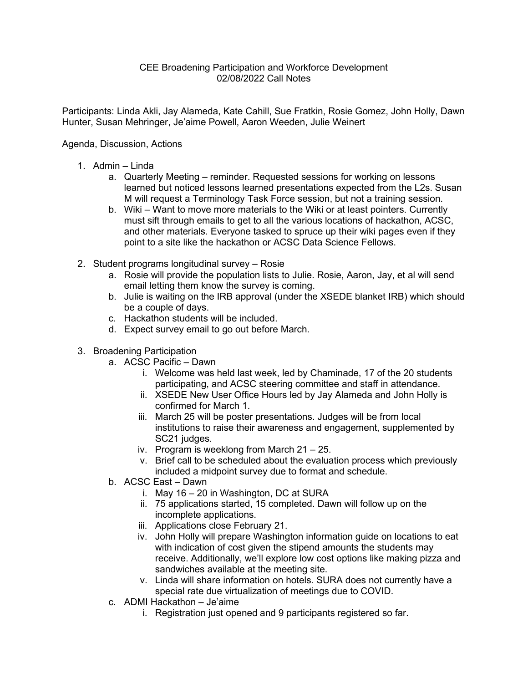## CEE Broadening Participation and Workforce Development 02/08/2022 Call Notes

Participants: Linda Akli, Jay Alameda, Kate Cahill, Sue Fratkin, Rosie Gomez, John Holly, Dawn Hunter, Susan Mehringer, Je'aime Powell, Aaron Weeden, Julie Weinert

## Agenda, Discussion, Actions

- 1. Admin Linda
	- a. Quarterly Meeting reminder. Requested sessions for working on lessons learned but noticed lessons learned presentations expected from the L2s. Susan M will request a Terminology Task Force session, but not a training session.
	- b. Wiki Want to move more materials to the Wiki or at least pointers. Currently must sift through emails to get to all the various locations of hackathon, ACSC, and other materials. Everyone tasked to spruce up their wiki pages even if they point to a site like the hackathon or ACSC Data Science Fellows.
- 2. Student programs longitudinal survey Rosie
	- a. Rosie will provide the population lists to Julie. Rosie, Aaron, Jay, et al will send email letting them know the survey is coming.
	- b. Julie is waiting on the IRB approval (under the XSEDE blanket IRB) which should be a couple of days.
	- c. Hackathon students will be included.
	- d. Expect survey email to go out before March.
- 3. Broadening Participation
	- a. ACSC Pacific Dawn
		- i. Welcome was held last week, led by Chaminade, 17 of the 20 students participating, and ACSC steering committee and staff in attendance.
		- ii. XSEDE New User Office Hours led by Jay Alameda and John Holly is confirmed for March 1.
		- iii. March 25 will be poster presentations. Judges will be from local institutions to raise their awareness and engagement, supplemented by SC21 judges.
		- iv. Program is weeklong from March 21 25.
		- v. Brief call to be scheduled about the evaluation process which previously included a midpoint survey due to format and schedule.
	- b. ACSC East Dawn
		- i. May 16 20 in Washington, DC at SURA
		- ii. 75 applications started, 15 completed. Dawn will follow up on the incomplete applications.
		- iii. Applications close February 21.
		- iv. John Holly will prepare Washington information guide on locations to eat with indication of cost given the stipend amounts the students may receive. Additionally, we'll explore low cost options like making pizza and sandwiches available at the meeting site.
		- v. Linda will share information on hotels. SURA does not currently have a special rate due virtualization of meetings due to COVID.
	- c. ADMI Hackathon Je'aime
		- i. Registration just opened and 9 participants registered so far.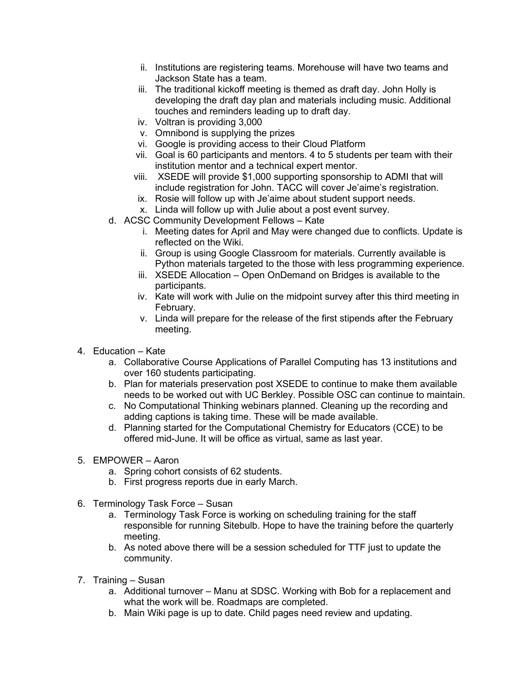- ii. Institutions are registering teams. Morehouse will have two teams and Jackson State has a team.
- iii. The traditional kickoff meeting is themed as draft day. John Holly is developing the draft day plan and materials including music. Additional touches and reminders leading up to draft day.
- iv. Voltran is providing 3,000
- v. Omnibond is supplying the prizes
- vi. Google is providing access to their Cloud Platform
- vii. Goal is 60 participants and mentors. 4 to 5 students per team with their institution mentor and a technical expert mentor.
- viii. XSEDE will provide \$1,000 supporting sponsorship to ADMI that will include registration for John. TACC will cover Je'aime's registration.
- ix. Rosie will follow up with Je'aime about student support needs.
- x. Linda will follow up with Julie about a post event survey.
- d. ACSC Community Development Fellows Kate
	- i. Meeting dates for April and May were changed due to conflicts. Update is reflected on the Wiki.
	- ii. Group is using Google Classroom for materials. Currently available is Python materials targeted to the those with less programming experience.
	- iii. XSEDE Allocation Open OnDemand on Bridges is available to the participants.
	- iv. Kate will work with Julie on the midpoint survey after this third meeting in February.
	- v. Linda will prepare for the release of the first stipends after the February meeting.
- 4. Education Kate
	- a. Collaborative Course Applications of Parallel Computing has 13 institutions and over 160 students participating.
	- b. Plan for materials preservation post XSEDE to continue to make them available needs to be worked out with UC Berkley. Possible OSC can continue to maintain.
	- c. No Computational Thinking webinars planned. Cleaning up the recording and adding captions is taking time. These will be made available.
	- d. Planning started for the Computational Chemistry for Educators (CCE) to be offered mid-June. It will be office as virtual, same as last year.
- 5. EMPOWER Aaron
	- a. Spring cohort consists of 62 students.
	- b. First progress reports due in early March.
- 6. Terminology Task Force Susan
	- a. Terminology Task Force is working on scheduling training for the staff responsible for running Sitebulb. Hope to have the training before the quarterly meeting.
	- b. As noted above there will be a session scheduled for TTF just to update the community.
- 7. Training Susan
	- a. Additional turnover Manu at SDSC. Working with Bob for a replacement and what the work will be. Roadmaps are completed.
	- b. Main Wiki page is up to date. Child pages need review and updating.